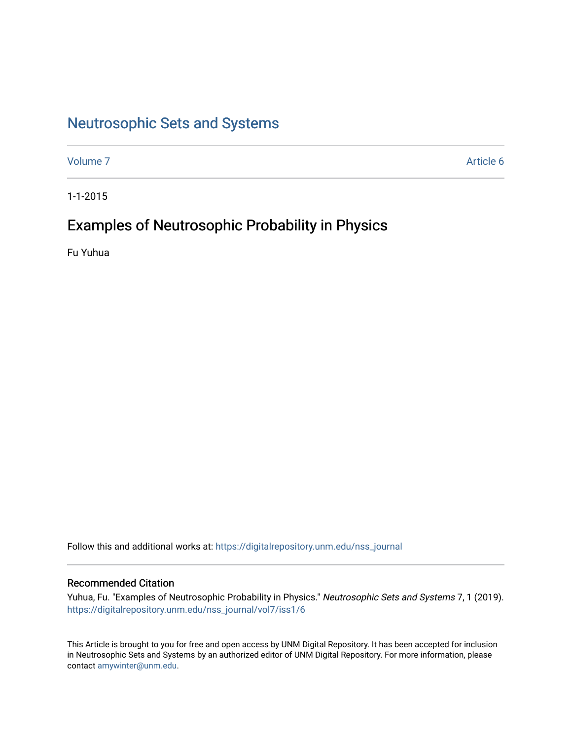# [Neutrosophic Sets and Systems](https://digitalrepository.unm.edu/nss_journal)

[Volume 7](https://digitalrepository.unm.edu/nss_journal/vol7) Article 6

1-1-2015

# Examples of Neutrosophic Probability in Physics

Fu Yuhua

Follow this and additional works at: [https://digitalrepository.unm.edu/nss\\_journal](https://digitalrepository.unm.edu/nss_journal?utm_source=digitalrepository.unm.edu%2Fnss_journal%2Fvol7%2Fiss1%2F6&utm_medium=PDF&utm_campaign=PDFCoverPages) 

# Recommended Citation

Yuhua, Fu. "Examples of Neutrosophic Probability in Physics." Neutrosophic Sets and Systems 7, 1 (2019). [https://digitalrepository.unm.edu/nss\\_journal/vol7/iss1/6](https://digitalrepository.unm.edu/nss_journal/vol7/iss1/6?utm_source=digitalrepository.unm.edu%2Fnss_journal%2Fvol7%2Fiss1%2F6&utm_medium=PDF&utm_campaign=PDFCoverPages) 

This Article is brought to you for free and open access by UNM Digital Repository. It has been accepted for inclusion in Neutrosophic Sets and Systems by an authorized editor of UNM Digital Repository. For more information, please contact [amywinter@unm.edu](mailto:amywinter@unm.edu).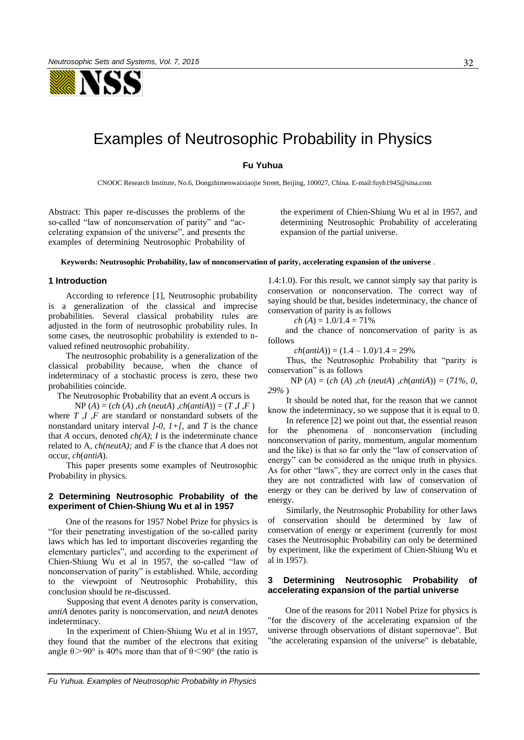NSS

# Examples of Neutrosophic Probability in Physics

# **Fu Yuhua**

CNOOC Research Institute, No.6, Dongzhimenwaixiaojie Street, Beijing, 100027, China. E-mail:fuyh1945@sina.com

Abstract: This paper re-discusses the problems of the so-called "law of nonconservation of parity" and "accelerating expansion of the universe", and presents the examples of determining Neutrosophic Probability of the experiment of Chien-Shiung Wu et al in 1957, and determining Neutrosophic Probability of accelerating expansion of the partial universe.

#### **Keywords: Neutrosophic Probability, law of nonconservation of parity, accelerating expansion of the universe** .

#### **1 Introduction**

According to reference [1], Neutrosophic probability is a generalization of the classical and imprecise probabilities. Several classical probability rules are adjusted in the form of neutrosophic probability rules. In some cases, the neutrosophic probability is extended to nvalued refined neutrosophic probability.

The neutrosophic probability is a generalization of the classical probability because, when the chance of indeterminacy of a stochastic process is zero, these two probabilities coincide.

The Neutrosophic Probability that an event *A* occurs is

 $NP(A) = (ch(A), ch(neutA), ch(antiA)) = (T, I, F)$ where *T*, *I*, *F* are standard or nonstandard subsets of the nonstandard unitary interval *]-0, 1+[,* and *T* is the chance that *A* occurs, denoted *ch(A)*; *I* is the indeterminate chance related to A, *ch(neutA);* and *F* is the chance that *A* does not occur, *ch*(*antiA*).

This paper presents some examples of Neutrosophic Probability in physics.

## **2 Determining Neutrosophic Probability of the experiment of Chien-Shiung Wu et al in 1957**

One of the reasons for 1957 Nobel Prize for physics is "for their penetrating investigation of the so-called parity laws which has led to important discoveries regarding the elementary particles", and according to the experiment of Chien-Shiung Wu et al in 1957, the so-called "law of nonconservation of parity" is established. While, according to the viewpoint of Neutrosophic Probability, this conclusion should be re-discussed.

Supposing that event *A* denotes parity is conservation, *antiA* denotes parity is nonconservation, and *neutA* denotes indeterminacy.

In the experiment of Chien-Shiung Wu et al in 1957, they found that the number of the electrons that exiting angle  $\theta$  > 90° is 40% more than that of  $\theta$  < 90° (the ratio is

1.4:1.0). For this result, we cannot simply say that parity is conservation or nonconservation. The correct way of saying should be that, besides indeterminacy, the chance of conservation of parity is as follows

$$
ch (A) = 1.0/1.4 = 71\%
$$

and the chance of nonconservation of parity is as follows

 $ch(antiA)) = (1.4 - 1.0)/1.4 = 29\%$ 

Thus, the Neutrosophic Probability that "parity is conservation" is as follows

 NP (*A*) = (*ch* (*A*) *,ch* (*neutA*) *,ch*(*antiA*)) = (*71%, 0, 29%* )

It should be noted that, for the reason that we cannot know the indeterminacy, so we suppose that it is equal to 0.

In reference [2] we point out that, the essential reason for the phenomena of nonconservation (including nonconservation of parity, momentum, angular momentum and the like) is that so far only the "law of conservation of energy" can be considered as the unique truth in physics. As for other "laws", they are correct only in the cases that they are not contradicted with law of conservation of energy or they can be derived by law of conservation of energy.

Similarly, the Neutrosophic Probability for other laws of conservation should be determined by law of conservation of energy or experiment (currently for most cases the Neutrosophic Probability can only be determined by experiment, like the experiment of Chien-Shiung Wu et al in 1957).

### **3 Determining Neutrosophic Probability of accelerating expansion of the partial universe**

One of the reasons for 2011 Nobel Prize for physics is "for the discovery of the accelerating expansion of the universe through observations of distant supernovae". But "the accelerating expansion of the universe" is debatable,